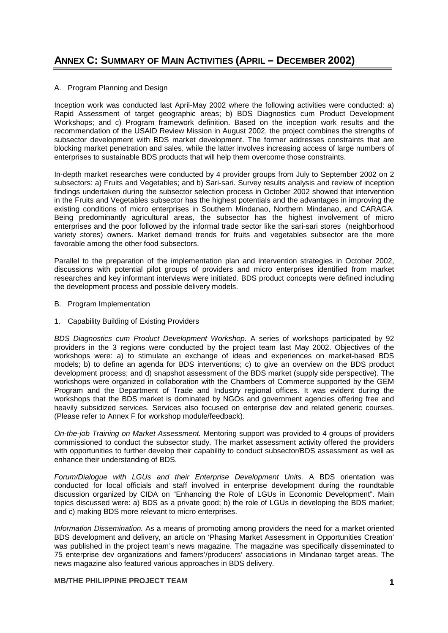## A. Program Planning and Design

Inception work was conducted last April-May 2002 where the following activities were conducted: a) Rapid Assessment of target geographic areas; b) BDS Diagnostics cum Product Development Workshops; and c) Program framework definition. Based on the inception work results and the recommendation of the USAID Review Mission in August 2002, the project combines the strengths of subsector development with BDS market development. The former addresses constraints that are blocking market penetration and sales, while the latter involves increasing access of large numbers of enterprises to sustainable BDS products that will help them overcome those constraints.

In-depth market researches were conducted by 4 provider groups from July to September 2002 on 2 subsectors: a) Fruits and Vegetables; and b) Sari-sari. Survey results analysis and review of inception findings undertaken during the subsector selection process in October 2002 showed that intervention in the Fruits and Vegetables subsector has the highest potentials and the advantages in improving the existing conditions of micro enterprises in Southern Mindanao, Northern Mindanao, and CARAGA. Being predominantly agricultural areas, the subsector has the highest involvement of micro enterprises and the poor followed by the informal trade sector like the sari-sari stores (neighborhood variety stores) owners. Market demand trends for fruits and vegetables subsector are the more favorable among the other food subsectors.

Parallel to the preparation of the implementation plan and intervention strategies in October 2002, discussions with potential pilot groups of providers and micro enterprises identified from market researches and key informant interviews were initiated. BDS product concepts were defined including the development process and possible delivery models.

- B. Program Implementation
- 1. Capability Building of Existing Providers

*BDS Diagnostics cum Product Development Workshop.* A series of workshops participated by 92 providers in the 3 regions were conducted by the project team last May 2002. Objectives of the workshops were: a) to stimulate an exchange of ideas and experiences on market-based BDS models; b) to define an agenda for BDS interventions; c) to give an overview on the BDS product development process; and d) snapshot assessment of the BDS market (supply side perspective). The workshops were organized in collaboration with the Chambers of Commerce supported by the GEM Program and the Department of Trade and Industry regional offices. It was evident during the workshops that the BDS market is dominated by NGOs and government agencies offering free and heavily subsidized services. Services also focused on enterprise dev and related generic courses. (Please refer to Annex F for workshop module/feedback).

*On-the-job Training on Market Assessment.* Mentoring support was provided to 4 groups of providers commissioned to conduct the subsector study. The market assessment activity offered the providers with opportunities to further develop their capability to conduct subsector/BDS assessment as well as enhance their understanding of BDS.

*Forum/Dialogue with LGUs and their Enterprise Development Units.* A BDS orientation was conducted for local officials and staff involved in enterprise development during the roundtable discussion organized by CIDA on "Enhancing the Role of LGUs in Economic Development". Main topics discussed were: a) BDS as a private good; b) the role of LGUs in developing the BDS market; and c) making BDS more relevant to micro enterprises.

*Information Dissemination.* As a means of promoting among providers the need for a market oriented BDS development and delivery, an article on 'Phasing Market Assessment in Opportunities Creation' was published in the project team's news magazine. The magazine was specifically disseminated to 75 enterprise dev organizations and famers'/producers' associations in Mindanao target areas. The news magazine also featured various approaches in BDS delivery.

## **MB/THE PHILIPPINE PROJECT TEAM 1**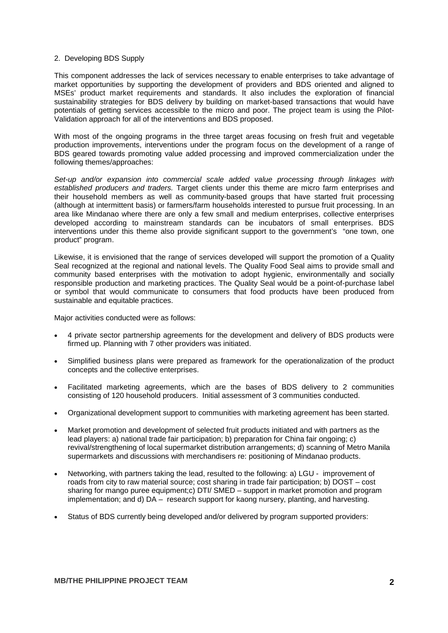## 2. Developing BDS Supply

This component addresses the lack of services necessary to enable enterprises to take advantage of market opportunities by supporting the development of providers and BDS oriented and aligned to MSEs' product market requirements and standards. It also includes the exploration of financial sustainability strategies for BDS delivery by building on market-based transactions that would have potentials of getting services accessible to the micro and poor. The project team is using the Pilot-Validation approach for all of the interventions and BDS proposed.

With most of the ongoing programs in the three target areas focusing on fresh fruit and vegetable production improvements, interventions under the program focus on the development of a range of BDS geared towards promoting value added processing and improved commercialization under the following themes/approaches:

*Set-up and/or expansion into commercial scale added value processing through linkages with established producers and traders.* Target clients under this theme are micro farm enterprises and their household members as well as community-based groups that have started fruit processing (although at intermittent basis) or farmers/farm households interested to pursue fruit processing. In an area like Mindanao where there are only a few small and medium enterprises, collective enterprises developed according to mainstream standards can be incubators of small enterprises. BDS interventions under this theme also provide significant support to the government's "one town, one product" program.

Likewise, it is envisioned that the range of services developed will support the promotion of a Quality Seal recognized at the regional and national levels. The Quality Food Seal aims to provide small and community based enterprises with the motivation to adopt hygienic, environmentally and socially responsible production and marketing practices. The Quality Seal would be a point-of-purchase label or symbol that would communicate to consumers that food products have been produced from sustainable and equitable practices.

Major activities conducted were as follows:

- 4 private sector partnership agreements for the development and delivery of BDS products were firmed up. Planning with 7 other providers was initiated.
- Simplified business plans were prepared as framework for the operationalization of the product concepts and the collective enterprises.
- Facilitated marketing agreements, which are the bases of BDS delivery to 2 communities consisting of 120 household producers. Initial assessment of 3 communities conducted.
- Organizational development support to communities with marketing agreement has been started.
- Market promotion and development of selected fruit products initiated and with partners as the lead players: a) national trade fair participation; b) preparation for China fair ongoing; c) revival/strengthening of local supermarket distribution arrangements; d) scanning of Metro Manila supermarkets and discussions with merchandisers re: positioning of Mindanao products.
- Networking, with partners taking the lead, resulted to the following: a) LGU improvement of roads from city to raw material source; cost sharing in trade fair participation; b) DOST – cost sharing for mango puree equipment;c) DTI/ SMED – support in market promotion and program implementation; and d) DA – research support for kaong nursery, planting, and harvesting.
- Status of BDS currently being developed and/or delivered by program supported providers: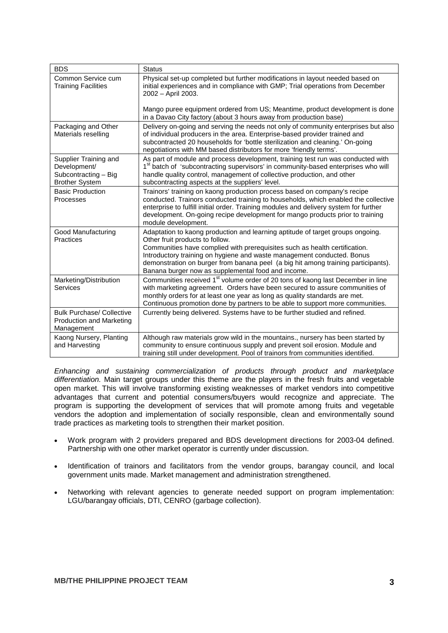| <b>BDS</b>                                                                             | <b>Status</b>                                                                                                                                                                                                                                                                                                                                                                                                        |
|----------------------------------------------------------------------------------------|----------------------------------------------------------------------------------------------------------------------------------------------------------------------------------------------------------------------------------------------------------------------------------------------------------------------------------------------------------------------------------------------------------------------|
| Common Service cum<br><b>Training Facilities</b>                                       | Physical set-up completed but further modifications in layout needed based on<br>initial experiences and in compliance with GMP; Trial operations from December<br>2002 - April 2003.                                                                                                                                                                                                                                |
|                                                                                        | Mango puree equipment ordered from US; Meantime, product development is done<br>in a Davao City factory (about 3 hours away from production base)                                                                                                                                                                                                                                                                    |
| Packaging and Other<br>Materials reselling                                             | Delivery on-going and serving the needs not only of community enterprises but also<br>of individual producers in the area. Enterprise-based provider trained and<br>subcontracted 20 households for 'bottle sterilization and cleaning.' On-going<br>negotiations with MM based distributors for more 'friendly terms'.                                                                                              |
| Supplier Training and<br>Development/<br>Subcontracting - Big<br><b>Brother System</b> | As part of module and process development, training test run was conducted with<br>1 <sup>st</sup> batch of 'subcontracting supervisors' in community-based enterprises who will<br>handle quality control, management of collective production, and other<br>subcontracting aspects at the suppliers' level.                                                                                                        |
| <b>Basic Production</b><br><b>Processes</b>                                            | Trainors' training on kaong production process based on company's recipe<br>conducted. Trainors conducted training to households, which enabled the collective<br>enterprise to fulfill initial order. Training modules and delivery system for further<br>development. On-going recipe development for mango products prior to training<br>module development.                                                      |
| Good Manufacturing<br>Practices                                                        | Adaptation to kaong production and learning aptitude of target groups ongoing.<br>Other fruit products to follow.<br>Communities have complied with prerequisites such as health certification.<br>Introductory training on hygiene and waste management conducted. Bonus<br>demonstration on burger from banana peel (a big hit among training participants).<br>Banana burger now as supplemental food and income. |
| Marketing/Distribution<br><b>Services</b>                                              | Communities received 1 <sup>st</sup> volume order of 20 tons of kaong last December in line<br>with marketing agreement. Orders have been secured to assure communities of<br>monthly orders for at least one year as long as quality standards are met.<br>Continuous promotion done by partners to be able to support more communities.                                                                            |
| <b>Bulk Purchase/ Collective</b><br>Production and Marketing<br>Management             | Currently being delivered. Systems have to be further studied and refined.                                                                                                                                                                                                                                                                                                                                           |
| Kaong Nursery, Planting<br>and Harvesting                                              | Although raw materials grow wild in the mountains., nursery has been started by<br>community to ensure continuous supply and prevent soil erosion. Module and<br>training still under development. Pool of trainors from communities identified.                                                                                                                                                                     |

*Enhancing and sustaining commercialization of products through product and marketplace differentiation.* Main target groups under this theme are the players in the fresh fruits and vegetable open market. This will involve transforming existing weaknesses of market vendors into competitive advantages that current and potential consumers/buyers would recognize and appreciate. The program is supporting the development of services that will promote among fruits and vegetable vendors the adoption and implementation of socially responsible, clean and environmentally sound trade practices as marketing tools to strengthen their market position.

- Work program with 2 providers prepared and BDS development directions for 2003-04 defined. Partnership with one other market operator is currently under discussion.
- Identification of trainors and facilitators from the vendor groups, barangay council, and local government units made. Market management and administration strengthened.
- Networking with relevant agencies to generate needed support on program implementation: LGU/barangay officials, DTI, CENRO (garbage collection).